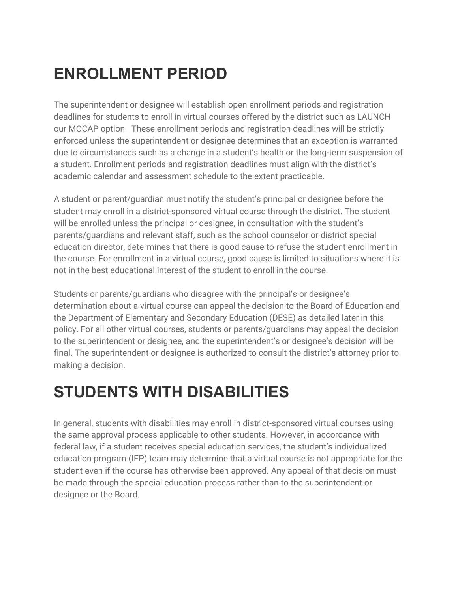## **ENROLLMENT PERIOD**

The superintendent or designee will establish open enrollment periods and registration deadlines for students to enroll in virtual courses offered by the district such as LAUNCH our MOCAP option. These enrollment periods and registration deadlines will be strictly enforced unless the superintendent or designee determines that an exception is warranted due to circumstances such as a change in a student's health or the long-term suspension of a student. Enrollment periods and registration deadlines must align with the district's academic calendar and assessment schedule to the extent practicable.

A student or parent/guardian must notify the student's principal or designee before the student may enroll in a district-sponsored virtual course through the district. The student will be enrolled unless the principal or designee, in consultation with the student's parents/guardians and relevant staff, such as the school counselor or district special education director, determines that there is good cause to refuse the student enrollment in the course. For enrollment in a virtual course, good cause is limited to situations where it is not in the best educational interest of the student to enroll in the course.

Students or parents/guardians who disagree with the principal's or designee's determination about a virtual course can appeal the decision to the Board of Education and the Department of Elementary and Secondary Education (DESE) as detailed later in this policy. For all other virtual courses, students or parents/guardians may appeal the decision to the superintendent or designee, and the superintendent's or designee's decision will be final. The superintendent or designee is authorized to consult the district's attorney prior to making a decision.

### **STUDENTS WITH DISABILITIES**

In general, students with disabilities may enroll in district-sponsored virtual courses using the same approval process applicable to other students. However, in accordance with federal law, if a student receives special education services, the student's individualized education program (IEP) team may determine that a virtual course is not appropriate for the student even if the course has otherwise been approved. Any appeal of that decision must be made through the special education process rather than to the superintendent or designee or the Board.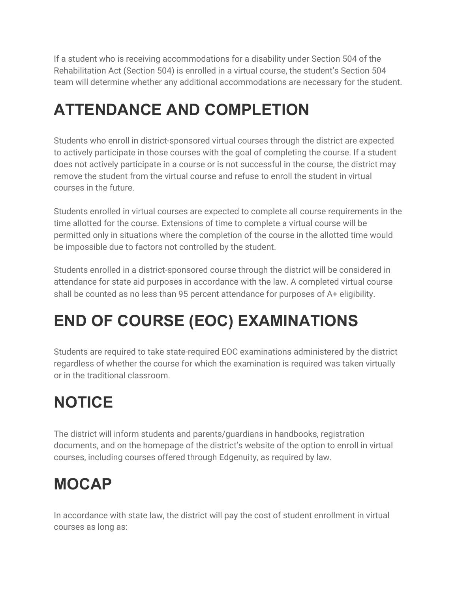If a student who is receiving accommodations for a disability under Section 504 of the Rehabilitation Act (Section 504) is enrolled in a virtual course, the student's Section 504 team will determine whether any additional accommodations are necessary for the student.

## **ATTENDANCE AND COMPLETION**

Students who enroll in district-sponsored virtual courses through the district are expected to actively participate in those courses with the goal of completing the course. If a student does not actively participate in a course or is not successful in the course, the district may remove the student from the virtual course and refuse to enroll the student in virtual courses in the future.

Students enrolled in virtual courses are expected to complete all course requirements in the time allotted for the course. Extensions of time to complete a virtual course will be permitted only in situations where the completion of the course in the allotted time would be impossible due to factors not controlled by the student.

Students enrolled in a district-sponsored course through the district will be considered in attendance for state aid purposes in accordance with the law. A completed virtual course shall be counted as no less than 95 percent attendance for purposes of A+ eligibility.

# **END OF COURSE (EOC) EXAMINATIONS**

Students are required to take state-required EOC examinations administered by the district regardless of whether the course for which the examination is required was taken virtually or in the traditional classroom.

# **NOTICE**

The district will inform students and parents/guardians in handbooks, registration documents, and on the homepage of the district's website of the option to enroll in virtual courses, including courses offered through Edgenuity, as required by law.

### **MOCAP**

In accordance with state law, the district will pay the cost of student enrollment in virtual courses as long as: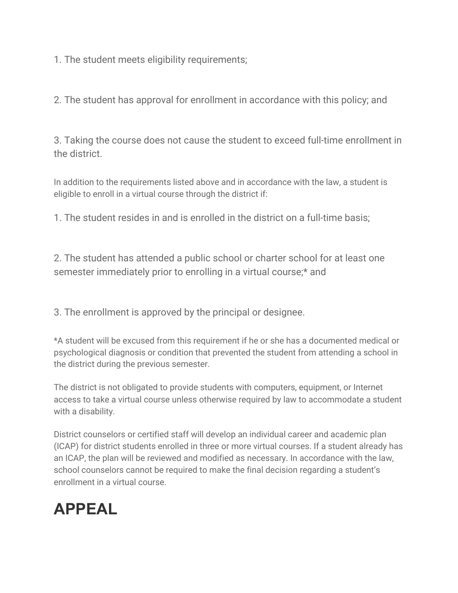1. The student meets eligibility requirements;

2. The student has approval for enrollment in accordance with this policy; and

3. Taking the course does not cause the student to exceed full-time enrollment in the district.

In addition to the requirements listed above and in accordance with the law, a student is eligible to enroll in a virtual course through the district if:

1. The student resides in and is enrolled in the district on a full-time basis;

2. The student has attended a public school or charter school for at least one semester immediately prior to enrolling in a virtual course;\* and

3. The enrollment is approved by the principal or designee.

\*A student will be excused from this requirement if he or she has a documented medical or psychological diagnosis or condition that prevented the student from attending a school in the district during the previous semester.

The district is not obligated to provide students with computers, equipment, or Internet access to take a virtual course unless otherwise required by law to accommodate a student with a disability.

District counselors or certified staff will develop an individual career and academic plan (ICAP) for district students enrolled in three or more virtual courses. If a student already has an ICAP, the plan will be reviewed and modified as necessary. In accordance with the law, school counselors cannot be required to make the final decision regarding a student's enrollment in a virtual course.

### **APPEAL**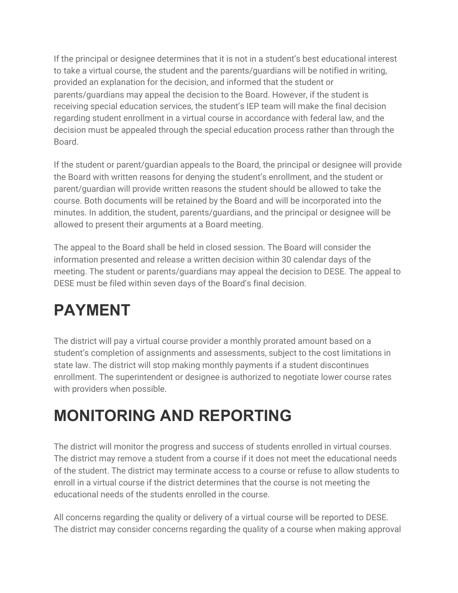If the principal or designee determines that it is not in a student's best educational interest to take a virtual course, the student and the parents/guardians will be notified in writing, provided an explanation for the decision, and informed that the student or parents/guardians may appeal the decision to the Board. However, if the student is receiving special education services, the student's IEP team will make the final decision regarding student enrollment in a virtual course in accordance with federal law, and the decision must be appealed through the special education process rather than through the Board.

If the student or parent/guardian appeals to the Board, the principal or designee will provide the Board with written reasons for denying the student's enrollment, and the student or parent/guardian will provide written reasons the student should be allowed to take the course. Both documents will be retained by the Board and will be incorporated into the minutes. In addition, the student, parents/guardians, and the principal or designee will be allowed to present their arguments at a Board meeting.

The appeal to the Board shall be held in closed session. The Board will consider the information presented and release a written decision within 30 calendar days of the meeting. The student or parents/guardians may appeal the decision to DESE. The appeal to DESE must be filed within seven days of the Board's final decision.

## **PAYMENT**

The district will pay a virtual course provider a monthly prorated amount based on a student's completion of assignments and assessments, subject to the cost limitations in state law. The district will stop making monthly payments if a student discontinues enrollment. The superintendent or designee is authorized to negotiate lower course rates with providers when possible.

### **MONITORING AND REPORTING**

The district will monitor the progress and success of students enrolled in virtual courses. The district may remove a student from a course if it does not meet the educational needs of the student. The district may terminate access to a course or refuse to allow students to enroll in a virtual course if the district determines that the course is not meeting the educational needs of the students enrolled in the course.

All concerns regarding the quality or delivery of a virtual course will be reported to DESE. The district may consider concerns regarding the quality of a course when making approval